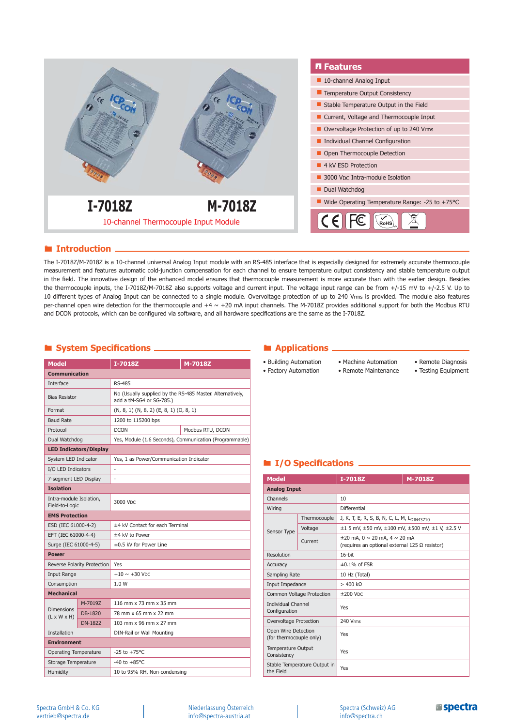

### **Introduction**

The I-7018Z/M-7018Z is a 10-channel universal Analog Input module with an RS-485 interface that is especially designed for extremely accurate thermocouple measurement and features automatic cold-junction compensation for each channel to ensure temperature output consistency and stable temperature output in the field. The innovative design of the enhanced model ensures that thermocouple measurement is more accurate than with the earlier design. Besides the thermocouple inputs, the I-7018Z/M-7018Z also supports voltage and current input. The voltage input range can be from +/-15 mV to +/-2.5 V. Up to 10 different types of Analog Input can be connected to a single module. Overvoltage protection of up to 240 Vrms is provided. The module also features per-channel open wire detection for the thermocouple and  $+4 \sim +20$  mA input channels. The M-7018Z provides additional support for both the Modbus RTU and DCON protocols, which can be configured via software, and all hardware specifications are the same as the I-7018Z.

### **E** System Specifications  **CALIC 2018 CALIC 2019 CALIC 2019 CALIC 2019 CALIC 2019 CALIC 2019 CALIC 2019 CALIC 2019 CALIC 2019 CALIC 2019 CALIC 2019 CALIC 2019 CALIC 2019 CALIC 2019**

| <b>Model</b>                                 |                               | I-7018Z                                                                               | M-7018Z          |  |
|----------------------------------------------|-------------------------------|---------------------------------------------------------------------------------------|------------------|--|
| <b>Communication</b>                         |                               |                                                                                       |                  |  |
| Interface                                    |                               | <b>RS-485</b>                                                                         |                  |  |
| <b>Bias Resistor</b>                         |                               | No (Usually supplied by the RS-485 Master. Alternatively,<br>add a tM-SG4 or SG-785.) |                  |  |
| Format                                       |                               | $(N, 8, 1)$ $(N, 8, 2)$ $(E, 8, 1)$ $(O, 8, 1)$                                       |                  |  |
| <b>Baud Rate</b>                             |                               | 1200 to 115200 bps                                                                    |                  |  |
| Protocol                                     |                               | <b>DCON</b>                                                                           | Modbus RTU, DCON |  |
| Dual Watchdog                                |                               | Yes, Module (1.6 Seconds), Communication (Programmable)                               |                  |  |
|                                              | <b>LED Indicators/Display</b> |                                                                                       |                  |  |
| System LED Indicator                         |                               | Yes, 1 as Power/Communication Indicator                                               |                  |  |
| I/O LED Indicators                           |                               | ä,                                                                                    |                  |  |
| 7-segment LED Display                        |                               |                                                                                       |                  |  |
| <b>Isolation</b>                             |                               |                                                                                       |                  |  |
| Intra-module Isolation,<br>Field-to-Logic    |                               | 3000 Vpc                                                                              |                  |  |
| <b>EMS Protection</b>                        |                               |                                                                                       |                  |  |
| ESD (IEC 61000-4-2)                          |                               | ±4 kV Contact for each Terminal                                                       |                  |  |
| EFT (IEC 61000-4-4)                          |                               | ±4 kV to Power                                                                        |                  |  |
| Surge (IEC 61000-4-5)                        |                               | ±0.5 kV for Power Line                                                                |                  |  |
| <b>Power</b>                                 |                               |                                                                                       |                  |  |
|                                              | Reverse Polarity Protection   | Yes                                                                                   |                  |  |
| <b>Input Range</b>                           |                               | $+10 \sim +30$ Vnc                                                                    |                  |  |
| Consumption                                  |                               | 1.0 W                                                                                 |                  |  |
| <b>Mechanical</b>                            |                               |                                                                                       |                  |  |
|                                              | M-7019Z                       | 116 mm x 73 mm x 35 mm                                                                |                  |  |
| <b>Dimensions</b><br>$(L \times W \times H)$ | DB-1820                       | 78 mm x 65 mm x 22 mm                                                                 |                  |  |
|                                              | <b>DN-1822</b>                | 103 mm x 96 mm x 27 mm                                                                |                  |  |
| <b>Installation</b>                          |                               | DIN-Rail or Wall Mounting                                                             |                  |  |
| <b>Environment</b>                           |                               |                                                                                       |                  |  |
| <b>Operating Temperature</b>                 |                               | $-25$ to $+75$ °C                                                                     |                  |  |
| Storage Temperature                          |                               | $-40$ to $+85^{\circ}$ C                                                              |                  |  |
| Humidity                                     |                               | 10 to 95% RH, Non-condensing                                                          |                  |  |

- Building Automation • Factory Automation
- Machine Automation • Remote Maintenance
- Remote Diagnosis
- Testing Equipment

# $I/O$  **Specifications**

| <b>Model</b>                                   |                           | I-7018Z                                                                                       | M-7018Z |
|------------------------------------------------|---------------------------|-----------------------------------------------------------------------------------------------|---------|
| <b>Analog Input</b>                            |                           |                                                                                               |         |
| Channels                                       |                           | 10                                                                                            |         |
| Wiring                                         |                           | Differential                                                                                  |         |
|                                                | Thermocouple              | J, K, T, E, R, S, B, N, C, L, M, L <sub>DIN43710</sub>                                        |         |
| Sensor Type                                    | Voltage                   | $\pm 1$ 5 mV, $\pm 50$ mV, $\pm 100$ mV, $\pm 500$ mV, $\pm 1$ V, $\pm 2.5$ V                 |         |
|                                                | Current                   | $\pm 20$ mA, 0 $\sim$ 20 mA, 4 $\sim$ 20 mA<br>(requires an optional external 125 Ω resistor) |         |
| Resolution                                     |                           | $16$ -bit                                                                                     |         |
| Accuracy                                       |                           | $\pm 0.1\%$ of FSR                                                                            |         |
| Sampling Rate                                  |                           | 10 Hz (Total)                                                                                 |         |
| Input Impedance                                |                           | $> 400 \text{ k}\Omega$                                                                       |         |
|                                                | Common Voltage Protection | $±200$ VDC                                                                                    |         |
| <b>Individual Channel</b><br>Configuration     |                           | Yes                                                                                           |         |
| Overvoltage Protection                         |                           | 240 Vrms                                                                                      |         |
| Open Wire Detection<br>(for thermocouple only) |                           | Yes                                                                                           |         |
| <b>Temperature Output</b><br>Consistency       |                           | Yes                                                                                           |         |
| Stable Temperature Output in<br>the Field      |                           | Yes                                                                                           |         |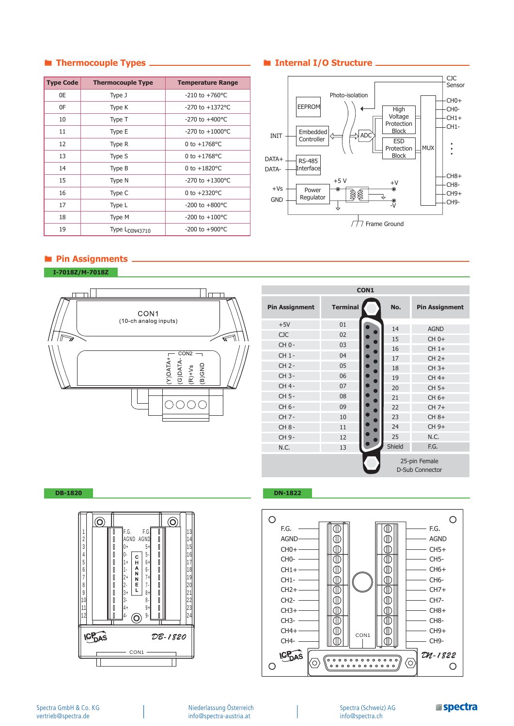| <b>Type Code</b> | <b>Thermocouple Type</b>   | <b>Temperature Range</b> |
|------------------|----------------------------|--------------------------|
| 0E               | Type J                     | $-210$ to $+760$ °C      |
| 0F               | Type K                     | $-270$ to $+1372$ °C     |
| 10               | Type T                     | $-270$ to $+400$ °C      |
| 11               | Type E                     | $-270$ to $+1000$ °C     |
| 12               | Type R                     | 0 to $+1768$ °C          |
| 13               | Type S                     | 0 to $+1768$ °C          |
| 14               | Type B                     | 0 to $+1820^{\circ}$ C   |
| 15               | Type N                     | $-270$ to $+1300$ °C     |
| 16               | Type C                     | 0 to $+2320^{\circ}$ C   |
| 17               | Type L                     | $-200$ to $+800$ °C      |
| 18               | Type M                     | -200 to $+100^{\circ}$ C |
| 19               | Type L <sub>DIN43710</sub> | $-200$ to $+900$ °C      |

# **Thermocouple Types Internal I/O Structure**



# **Pin Assignments**

**I-7018Z/M-7018Z**



| CON1                  |                 |        |                                         |
|-----------------------|-----------------|--------|-----------------------------------------|
| <b>Pin Assignment</b> | <b>Terminal</b> | No.    | <b>Pin Assignment</b>                   |
| $+5V$                 | 01              | 14     | <b>AGND</b>                             |
| <b>CJC</b>            | 02              | 15     | CH 0+                                   |
| CH 0-                 | 03              | 16     | $CH1+$                                  |
| CH 1-                 | 04              | 17     | $CH2+$                                  |
| CH 2-                 | 05              | 18     | $CH 3+$                                 |
| CH 3-                 | 06              | 19     | CH 4+                                   |
| CH 4-                 | 07              | 20     | CH 5+                                   |
| CH 5-                 | 08              | 21     | CH 6+                                   |
| CH 6-                 | 09              | 22     | $CH 7+$                                 |
| CH 7-                 | 10              | 23     | CH 8+                                   |
| CH 8-                 | 11              | 24     | CH 9+                                   |
| CH 9-                 | 12              | 25     | N.C.                                    |
| N.C.                  | 13              | Shield | F.G.                                    |
|                       |                 |        | 25-pin Female<br><b>D-Sub Connector</b> |



### **DB-1820 DN-1822**



Niederlassung Österreich info@spectra-austria.at

Spectra (Schweiz) AG info@spectra.ch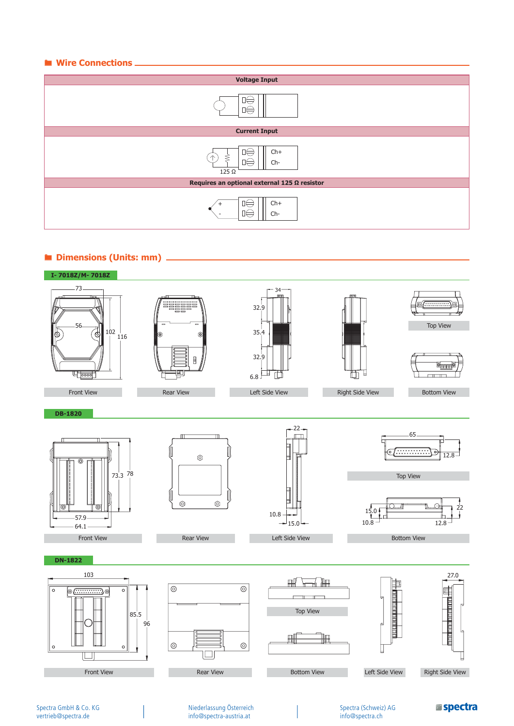### $\blacksquare$  Wire Connections.



### **Dimensions (Units: mm)**



Spectra GmbH & Co. KG vertrieb@spectra.de

Niederlassung Österreich info@spectra-austria.at

Spectra (Schweiz) AG info@spectra.ch

**aspectra**